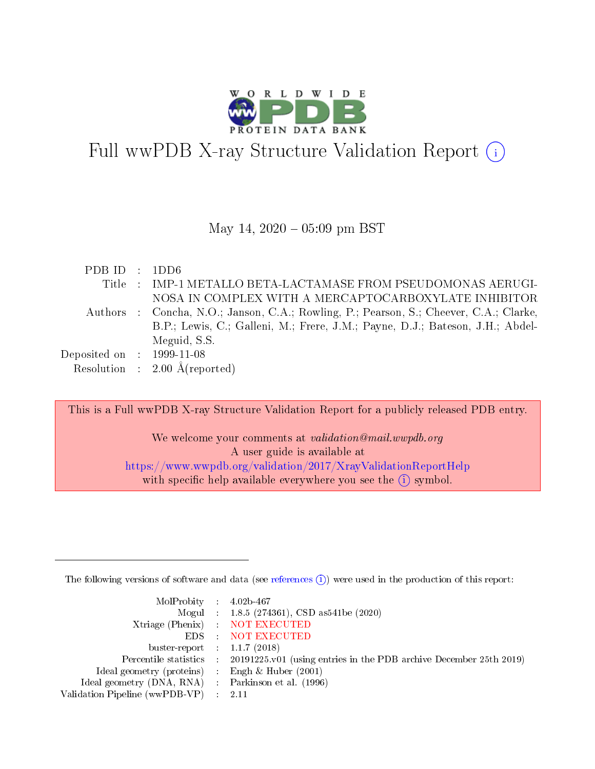

# Full wwPDB X-ray Structure Validation Report (i)

#### May 14,  $2020 - 05:09$  pm BST

| PDBID : 1DD6                |                                                                                        |
|-----------------------------|----------------------------------------------------------------------------------------|
|                             | Title : IMP-1 METALLO BETA-LACTAMASE FROM PSEUDOMONAS AERUGI-                          |
|                             | NOSA IN COMPLEX WITH A MERCAPTOCARBOXYLATE INHIBITOR                                   |
|                             | Authors : Concha, N.O.; Janson, C.A.; Rowling, P.; Pearson, S.; Cheever, C.A.; Clarke, |
|                             | B.P.; Lewis, C.; Galleni, M.; Frere, J.M.; Payne, D.J.; Bateson, J.H.; Abdel-          |
|                             | Meguid, S.S.                                                                           |
| Deposited on : $1999-11-08$ |                                                                                        |
|                             | Resolution : $2.00 \text{ Å}$ (reported)                                               |

This is a Full wwPDB X-ray Structure Validation Report for a publicly released PDB entry.

We welcome your comments at *validation@mail.wwpdb.org* A user guide is available at <https://www.wwpdb.org/validation/2017/XrayValidationReportHelp> with specific help available everywhere you see the  $(i)$  symbol.

The following versions of software and data (see [references](https://www.wwpdb.org/validation/2017/XrayValidationReportHelp#references)  $(i)$ ) were used in the production of this report:

| $MolProbability$ 4.02b-467                          |                                                                                            |
|-----------------------------------------------------|--------------------------------------------------------------------------------------------|
|                                                     | Mogul : 1.8.5 (274361), CSD as 541be (2020)                                                |
|                                                     | Xtriage (Phenix) NOT EXECUTED                                                              |
|                                                     | EDS : NOT EXECUTED                                                                         |
| buster-report : $1.1.7(2018)$                       |                                                                                            |
|                                                     | Percentile statistics : 20191225.v01 (using entries in the PDB archive December 25th 2019) |
| Ideal geometry (proteins) : Engh $\&$ Huber (2001)  |                                                                                            |
| Ideal geometry (DNA, RNA) : Parkinson et al. (1996) |                                                                                            |
| Validation Pipeline (wwPDB-VP)                      | -2.11                                                                                      |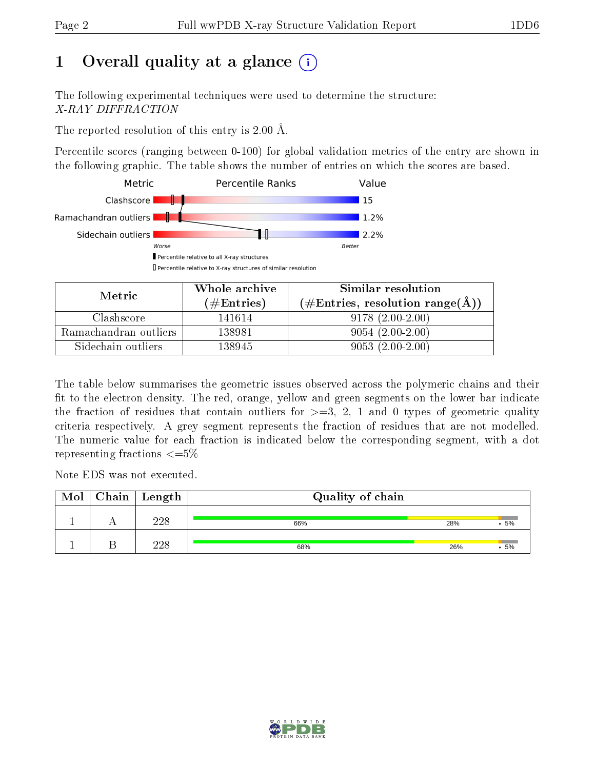## 1 [O](https://www.wwpdb.org/validation/2017/XrayValidationReportHelp#overall_quality)verall quality at a glance  $(i)$

The following experimental techniques were used to determine the structure: X-RAY DIFFRACTION

The reported resolution of this entry is 2.00 Å.

Percentile scores (ranging between 0-100) for global validation metrics of the entry are shown in the following graphic. The table shows the number of entries on which the scores are based.



| Metric                | Whole archive       | Similar resolution                                       |  |  |
|-----------------------|---------------------|----------------------------------------------------------|--|--|
|                       | (# $\rm{Entries}$ ) | $(\#\text{Entries}, \text{resolution range}(\text{\AA})$ |  |  |
| Clashscore            | 141614              | $9178(2.00-2.00)$                                        |  |  |
| Ramachandran outliers | 138981              | $9054(2.00-2.00)$                                        |  |  |
| Sidechain outliers    | 138945              | $9053(2.00-2.00)$                                        |  |  |

The table below summarises the geometric issues observed across the polymeric chains and their fit to the electron density. The red, orange, yellow and green segments on the lower bar indicate the fraction of residues that contain outliers for  $\geq=3$ , 2, 1 and 0 types of geometric quality criteria respectively. A grey segment represents the fraction of residues that are not modelled. The numeric value for each fraction is indicated below the corresponding segment, with a dot representing fractions  $\leq=5\%$ 

Note EDS was not executed.

| Mol | $\mid$ Chain $\mid$ Length | Quality of chain |     |       |  |  |  |
|-----|----------------------------|------------------|-----|-------|--|--|--|
|     | 228                        | 66%              | 28% | .5%   |  |  |  |
|     | 228                        | 68%              | 26% | $-5%$ |  |  |  |

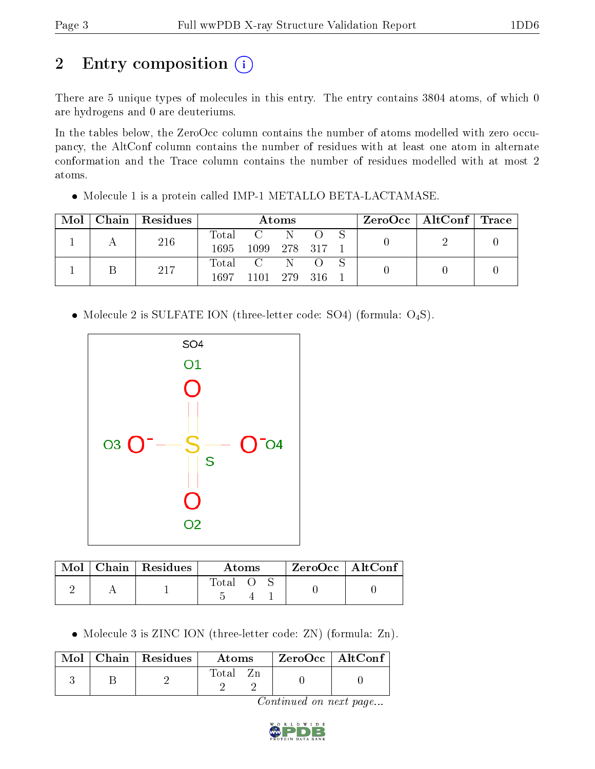# 2 Entry composition (i)

There are 5 unique types of molecules in this entry. The entry contains 3804 atoms, of which 0 are hydrogens and 0 are deuteriums.

In the tables below, the ZeroOcc column contains the number of atoms modelled with zero occupancy, the AltConf column contains the number of residues with at least one atom in alternate conformation and the Trace column contains the number of residues modelled with at most 2 atoms.

• Molecule 1 is a protein called IMP-1 METALLO BETA-LACTAMASE.

| Mol | $\vert$ Chain $\vert$ Residues | Atoms       |                |  |  | $\text{ZeroOcc} \mid \text{AltConf} \mid \text{Trace}$ |  |  |
|-----|--------------------------------|-------------|----------------|--|--|--------------------------------------------------------|--|--|
|     | 216                            | $\rm Total$ | $C = N$        |  |  |                                                        |  |  |
|     |                                | 1695        | 1099 278 317 1 |  |  |                                                        |  |  |
|     | 217                            |             | Total C N O S  |  |  |                                                        |  |  |
|     |                                | 1697        | 1101 279 316 1 |  |  |                                                        |  |  |

• Molecule 2 is SULFATE ION (three-letter code: SO4) (formula:  $O_4S$ ).



|  | $Mol$   Chain   Residues | Atoms |  |  | $ZeroOcc$   AltConf |  |
|--|--------------------------|-------|--|--|---------------------|--|
|  |                          | Total |  |  |                     |  |

• Molecule 3 is ZINC ION (three-letter code: ZN) (formula: Zn).

|  | Mol   Chain   Residues | Atoms | $ZeroOcc$   AltConf |  |
|--|------------------------|-------|---------------------|--|
|  |                        | Fotal |                     |  |

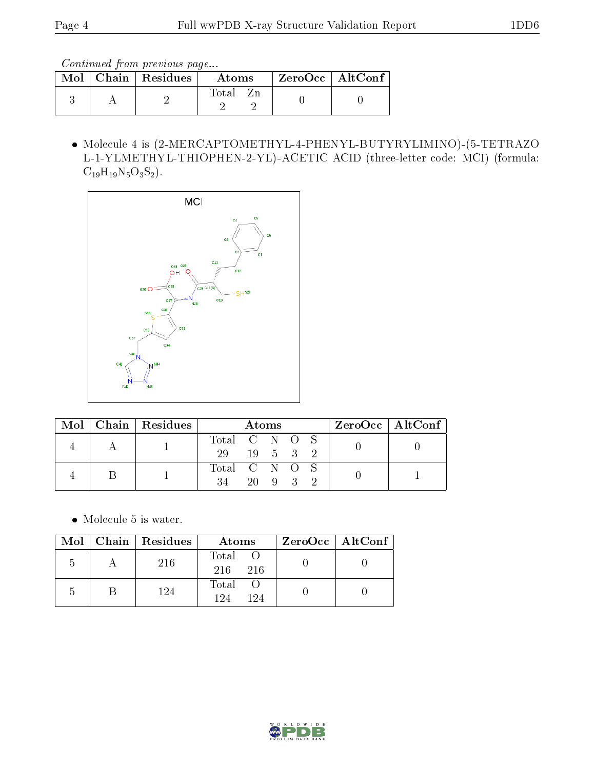Continued from previous page...

|  | $\text{Mol}$   Chain   Residues | Atoms | $ZeroOcc$   AltConf |  |
|--|---------------------------------|-------|---------------------|--|
|  |                                 | Total |                     |  |

 Molecule 4 is (2-MERCAPTOMETHYL-4-PHENYL-BUTYRYLIMINO)-(5-TETRAZO L-1-YLMETHYL-THIOPHEN-2-YL)-ACETIC ACID (three-letter code: MCI) (formula:  $C_{19}H_{19}N_5O_3S_2$ .



|  |  | $Mol$   Chain   Residues | Atoms         |  |        | ZeroOcc   AltConf |  |  |
|--|--|--------------------------|---------------|--|--------|-------------------|--|--|
|  |  |                          | Total C N O S |  |        |                   |  |  |
|  |  | 29                       | 19 5 3 2      |  |        |                   |  |  |
|  |  |                          | Total C N O S |  |        |                   |  |  |
|  |  |                          | 34            |  | 20 9 3 |                   |  |  |

Molecule 5 is water.

|               | $Mol$   Chain   Residues | Atoms                 | $ZeroOcc \mid AltConf \mid$ |
|---------------|--------------------------|-----------------------|-----------------------------|
| $\mathcal{D}$ | 216                      | Total<br>- 216<br>216 |                             |
| $\mathcal{L}$ | 124                      | Total<br>194<br>194   |                             |

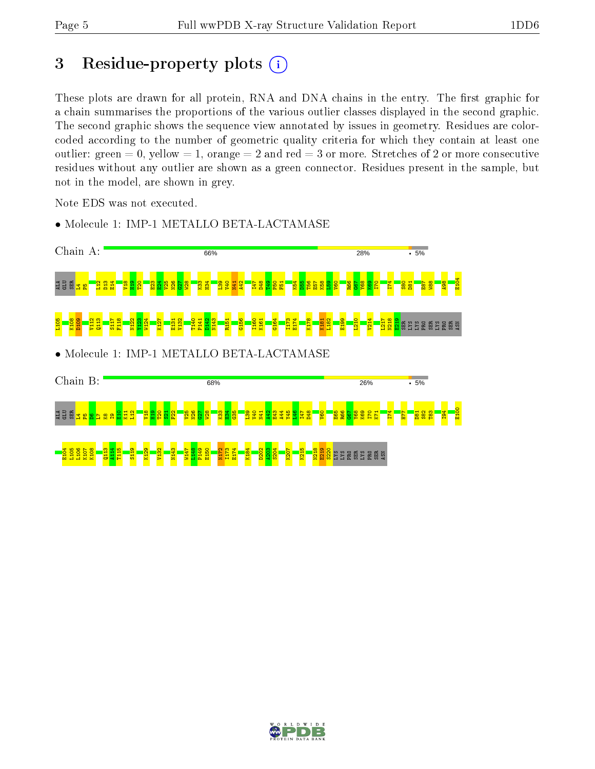## 3 Residue-property plots  $(i)$

These plots are drawn for all protein, RNA and DNA chains in the entry. The first graphic for a chain summarises the proportions of the various outlier classes displayed in the second graphic. The second graphic shows the sequence view annotated by issues in geometry. Residues are colorcoded according to the number of geometric quality criteria for which they contain at least one outlier: green  $= 0$ , yellow  $= 1$ , orange  $= 2$  and red  $= 3$  or more. Stretches of 2 or more consecutive residues without any outlier are shown as a green connector. Residues present in the sample, but not in the model, are shown in grey.

Note EDS was not executed.



• Molecule 1: IMP-1 METALLO BETA-LACTAMASE

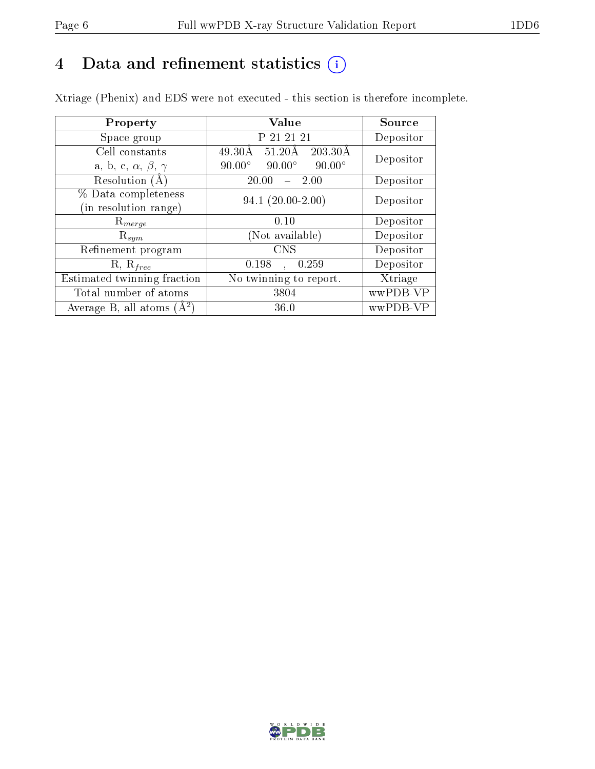## 4 Data and refinement statistics  $(i)$

Xtriage (Phenix) and EDS were not executed - this section is therefore incomplete.

| Property                               | Value                                                        | Source    |  |
|----------------------------------------|--------------------------------------------------------------|-----------|--|
| Space group                            | P 21 21 21                                                   | Depositor |  |
| Cell constants                         | $49.30\text{\AA}$<br>$203.30\text{\AA}$<br>$51.20\text{\AA}$ | Depositor |  |
| a, b, c, $\alpha$ , $\beta$ , $\gamma$ | $90.00^\circ$<br>$90.00^\circ$<br>$90.00^\circ$              |           |  |
| Resolution $(A)$                       | 20.00<br>$-2.00$                                             | Depositor |  |
| % Data completeness                    | $94.1(20.00-2.00)$                                           | Depositor |  |
| (in resolution range)                  |                                                              |           |  |
| $\mathrm{R}_{merge}$                   | 0.10                                                         | Depositor |  |
| $\mathrm{R}_{sym}$                     | (Not available)                                              | Depositor |  |
| Refinement program                     | <b>CNS</b>                                                   | Depositor |  |
| $R, R_{free}$                          | 0.198<br>0.259<br>$\mathbf{A}$                               | Depositor |  |
| Estimated twinning fraction            | No twinning to report.                                       | Xtriage   |  |
| Total number of atoms                  | 3804                                                         | wwPDB-VP  |  |
| Average B, all atoms $(A^2)$           | 36.0                                                         | wwPDB-VP  |  |

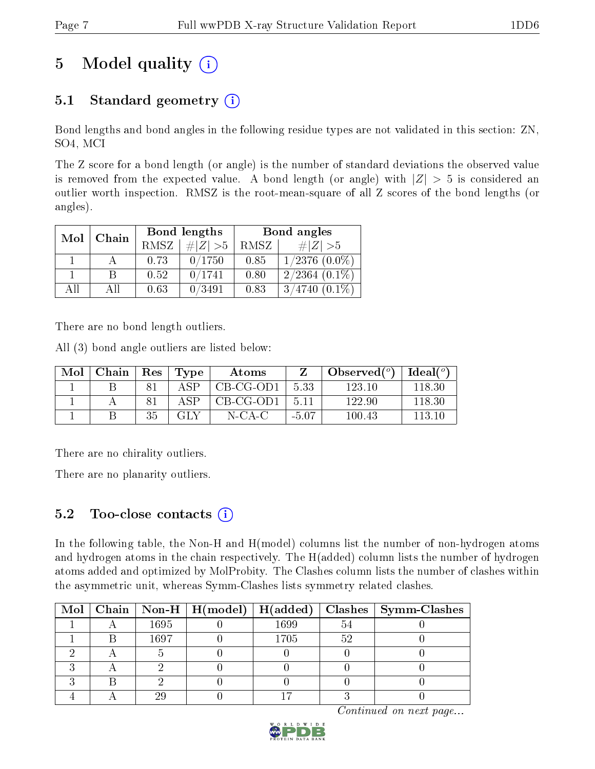## 5 Model quality  $(i)$

## 5.1 Standard geometry  $(i)$

Bond lengths and bond angles in the following residue types are not validated in this section: ZN, SO4, MCI

The Z score for a bond length (or angle) is the number of standard deviations the observed value is removed from the expected value. A bond length (or angle) with  $|Z| > 5$  is considered an outlier worth inspection. RMSZ is the root-mean-square of all Z scores of the bond lengths (or angles).

| Mol | Chain |             | Bond lengths | Bond angles |                    |  |
|-----|-------|-------------|--------------|-------------|--------------------|--|
|     |       | <b>RMSZ</b> | $\# Z  > 5$  | RMSZ        | $\# Z  > 5$        |  |
|     |       | 0.73        | 0/1750       | 0.85        | $1/2376$ $(0.0\%)$ |  |
|     | B     | 0.52        | 0/1741       | 0.80        | $2/2364$ $(0.1\%)$ |  |
| AĦ  | АH    | 0.63        | 0/3491       | 0.83        | $3/4740(0.1\%)$    |  |

There are no bond length outliers.

All (3) bond angle outliers are listed below:

| Mol | Chain |    | $\vert$ Res $\vert$ Type | Atoms     |         | Observed $(^\circ)$ | $\mid$ Ideal( $^o$ ) |
|-----|-------|----|--------------------------|-----------|---------|---------------------|----------------------|
|     |       |    | A SP                     | CB-CG-OD1 | 5.33    | 123 10              | 118.30               |
|     |       |    | A SP                     | CB-CG-OD1 | . 5.11  | 122.90              | 118.30               |
|     |       | 35 | GLY                      | N-CA-C    | $-5.07$ | 100.43              | 113 10               |

There are no chirality outliers.

There are no planarity outliers.

## 5.2 Too-close contacts  $(i)$

In the following table, the Non-H and H(model) columns list the number of non-hydrogen atoms and hydrogen atoms in the chain respectively. The H(added) column lists the number of hydrogen atoms added and optimized by MolProbity. The Clashes column lists the number of clashes within the asymmetric unit, whereas Symm-Clashes lists symmetry related clashes.

|  |      |      |    | Mol   Chain   Non-H   H(model)   H(added)   Clashes   Symm-Clashes |
|--|------|------|----|--------------------------------------------------------------------|
|  | 1695 | 1699 | 54 |                                                                    |
|  | 1697 | 1705 | 52 |                                                                    |
|  |      |      |    |                                                                    |
|  |      |      |    |                                                                    |
|  |      |      |    |                                                                    |
|  |      |      |    |                                                                    |

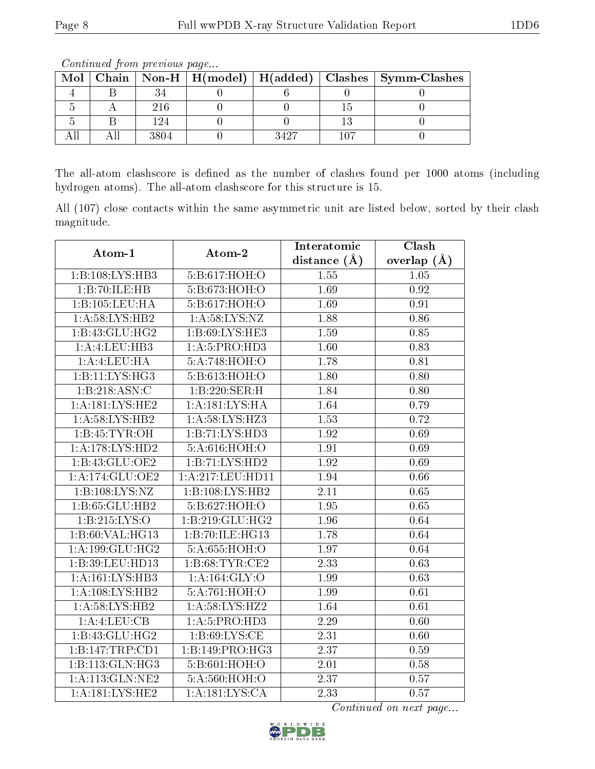| <u>oo issanaa oo jiro ila jiro soo aa jiray jorra</u> |  |      |  |      |  |                                                                    |
|-------------------------------------------------------|--|------|--|------|--|--------------------------------------------------------------------|
|                                                       |  |      |  |      |  | Mol   Chain   Non-H   H(model)   H(added)   Clashes   Symm-Clashes |
|                                                       |  |      |  |      |  |                                                                    |
|                                                       |  | 216  |  |      |  |                                                                    |
|                                                       |  | 124  |  |      |  |                                                                    |
|                                                       |  | 3804 |  | 3427 |  |                                                                    |

Continued from previous page...

The all-atom clashscore is defined as the number of clashes found per 1000 atoms (including hydrogen atoms). The all-atom clashscore for this structure is 15.

All (107) close contacts within the same asymmetric unit are listed below, sorted by their clash magnitude.

| Atom-1                             | Atom-2                      | Interatomic       | Clash           |
|------------------------------------|-----------------------------|-------------------|-----------------|
|                                    |                             | distance $(\AA)$  | overlap $(\AA)$ |
| 1:B:108:LYS:HB3                    | 5:B:617:HOH:O               | $\overline{1.55}$ | 1.05            |
| 1:B:70:ILE:HB                      | 5:B:673:HOH:O               | 1.69              | 0.92            |
| 1:B:105:LEU:HA                     | 5:B:617:HOH:O               | 1.69              | 0.91            |
| 1:A:58:LYS:HB2                     | 1: A:58:LYS:NZ              | 1.88              | 0.86            |
| 1:B:43:GLU:HG2                     | 1: B:69: LYS: HE3           | 1.59              | 0.85            |
| 1:A:4:LEU:HB3                      | 1: A:5: PRO:HD3             | 1.60              | 0.83            |
| 1:A:4:LEU:HA                       | 5:A:748:HOH:O               | 1.78              | 0.81            |
| $1:B:11:\overline{\text{LYS:HG3}}$ | 5:B:613:HOH:O               | 1.80              | 0.80            |
| 1:B:218:ASN:C                      | 1:B:220:SER:H               | 1.84              | 0.80            |
| 1:A:181:LYS:HE2                    | 1:A:181:LYS:HA              | 1.64              | 0.79            |
| 1: A:58: LYS: HB2                  | 1: A:58: LYS: HZ3           | 1.53              | 0.72            |
| 1:B:45:TYR:OH                      | 1:B:71:LYS:HD3              | 1.92              | 0.69            |
| 1: A:178: LYS: HD2                 | 5: A:616:HOH:O              | $\overline{1.91}$ | 0.69            |
| 1:B:43:GLU:OE2                     | 1:B:71:LYS:HD2              | 1.92              | 0.69            |
| 1:A:174:GLU:OE2                    | 1:A:217:LEU:HD11            | 1.94              | 0.66            |
| 1:B:108:LYS:NZ                     | 1:B:108:LYS:HB2             | $\overline{2.11}$ | 0.65            |
| 1:B:65:GLU:HB2                     | 5:B:627:HOH:O               | 1.95              | 0.65            |
| 1:B:215:LYS:O                      | 1:B:219:GLU:HG2             | $\overline{1.96}$ | 0.64            |
| 1:B:60:VAL:HG13                    | 1:B:70:ILE:HG13             | 1.78              | 0.64            |
| 1:A:199:GLU:HG2                    | 5:A:655:HOH:O               | 1.97              | 0.64            |
| 1:B:39:LEU:HD13                    | 1: B:68:TYR:CE2             | 2.33              | 0.63            |
| 1:A:161:LYS:HB3                    | 1:A:164:GLY:O               | 1.99              | 0.63            |
| 1:A:108:LYS:HB2                    | 5:A:761:HOH:O               | 1.99              | 0.61            |
| 1: A:58:LYS:HB2                    | 1: A:58: LYS: HZ2           | 1.64              | 0.61            |
| 1:A:LEU:CB                         | 1: A:5: PRO:HD3             | $\overline{2.29}$ | 0.60            |
| 1:B:43:GLU:HG2                     | 1: B:69: LYS:CE             | 2.31              | 0.60            |
| 1:B:147:TRP:CD1                    | 1:B:149:PRO:HG3             | 2.37              | 0.59            |
| 1:B:113:GLN:HG3                    | 5:B:601:HOH:O               | $2.01\,$          | 0.58            |
| 1:A:113:GLN:NE2                    | 5:A:560:HOH:O               | 2.37              | 0.57            |
| 1:A:181:LYS:HE2                    | $1:A:\overline{181:LYS:CA}$ | $\overline{2.33}$ | 0.57            |

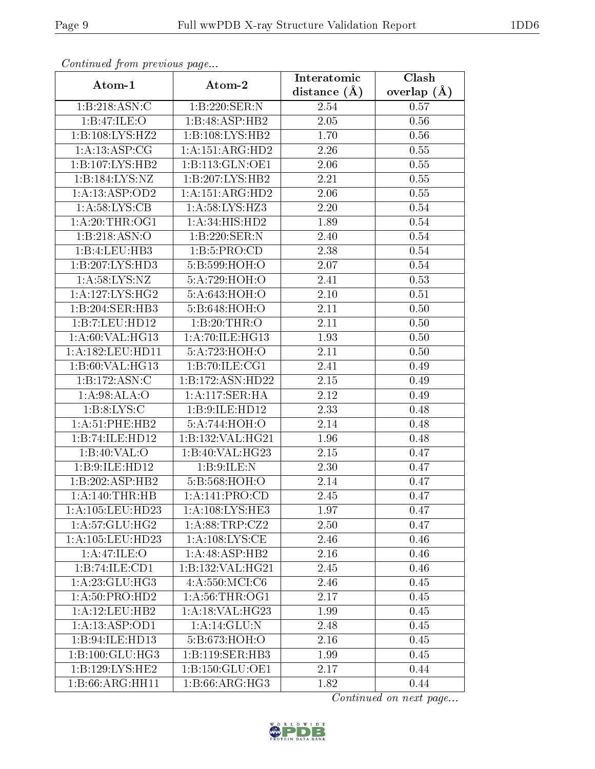| $P$ is a set of $P$ is a set of $P$ and $P$ and $P$<br>Atom-1 | Atom-2            | Interatomic    | Clash           |
|---------------------------------------------------------------|-------------------|----------------|-----------------|
|                                                               |                   | distance $(A)$ | overlap $(\AA)$ |
| 1:B:218:ASN:C                                                 | 1:B:220:SER:N     | 2.54           | 0.57            |
| 1:B:47:ILE:O                                                  | 1:B:48:ASP:HB2    | 2.05           | 0.56            |
| 1:B:108:LYS:HZ2                                               | 1:B:108:LYS:HB2   | 1.70           | 0.56            |
| 1:A:13:ASP:CG                                                 | 1:A:151:ARG:HD2   | 2.26           | 0.55            |
| 1:B:107:LYS:HB2                                               | 1:B:113:GLN:OE1   | 2.06           | 0.55            |
| 1:B:184:LYS:NZ                                                | 1:B:207:LYS:HB2   | 2.21           | $0.55\,$        |
| 1:A:13:ASP:OD2                                                | 1:A:151:ARG:HD2   | 2.06           | 0.55            |
| 1: A:58: LYS:CB                                               | 1: A:58: LYS: HZ3 | 2.20           | 0.54            |
| 1: A:20:THR:OG1                                               | 1: A:34: HIS: HD2 | 1.89           | 0.54            |
| 1:B:218:ASN:O                                                 | 1:B:220:SER:N     | 2.40           | 0.54            |
| 1:B:4:LEU:HB3                                                 | 1:B:5:PRO:CD      | 2.38           | 0.54            |
| 1:B:207:LYS:HD3                                               | 5:B:599:HOH:O     | 2.07           | 0.54            |
| 1: A:58: LYS: NZ                                              | 5:A:729:HOH:O     | 2.41           | 0.53            |
| 1: A: 127: LYS: HG2                                           | 5:A:643:HOH:O     | $2.10\,$       | 0.51            |
| 1:B:204:SER:HB3                                               | 5:B:648:HOH:O     | 2.11           | 0.50            |
| 1:B:7:LEU:HD12                                                | 1:B:20:THR:O      | 2.11           | 0.50            |
| 1: A:60: VAL:HG13                                             | 1:A:70:ILE:HG13   | 1.93           | 0.50            |
| 1:A:182:LEU:HD11                                              | 5:A:723:HOH:O     | 2.11           | 0.50            |
| 1:B:60:VAL:HG13                                               | 1:B:70:ILE:CG1    | 2.41           | 0.49            |
| $1:B:172:ASN:\overline{C}$                                    | 1:B:172:ASN:HD22  | 2.15           | 0.49            |
| 1:A:98:ALA:O                                                  | 1:A:117:SER:HA    | 2.12           | 0.49            |
| 1: B: 8: LYS: C                                               | 1:B:9:ILE:HD12    | 2.33           | 0.48            |
| 1: A:51:PHE:HB2                                               | 5:A:744:HOH:O     | 2.14           | 0.48            |
| 1:B:74:ILE:HD12                                               | 1:B:132:VAL:HG21  | 1.96           | 0.48            |
| 1:B:40:VAL:O                                                  | 1:B:40:VAL:HG23   | 2.15           | 0.47            |
| 1:B:9:ILE:HD12                                                | 1:B:9:ILE:N       | 2.30           | 0.47            |
| 1:B:202:ASP:HB2                                               | 5:B:568:HOH:O     | 2.14           | 0.47            |
| 1: A:140:THR:HB                                               | 1:A:141:PRO:CD    | 2.45           | 0.47            |
| 1: A: 105: LEU: HD23                                          | 1: A:108:LYS:HE3  | 1.97           | 0.47            |
| 1: A:57: GLU: HG2                                             | 1:A:88:TRP:CZ2    | 2.50           | 0.47            |
| 1: A: 105: LEU: HD23                                          | 1: A:108:LYS:CE   | 2.46           | 0.46            |
| 1:A:47:ILE:O                                                  | 1:A:48:ASP:HB2    | 2.16           | 0.46            |
| 1:B:74:ILE:CD1                                                | 1:B:132:VAL:HG21  | 2.45           | 0.46            |
| 1:A:23:GLU:HG3                                                | 4: A:550: MCI: C6 | 2.46           | 0.45            |
| 1:A:50:PRO:H <sub>D2</sub>                                    | 1: A:56:THR:OG1   | 2.17           | 0.45            |
| 1:A:12:LEU:HB2                                                | 1: A:18: VAL:HG23 | 1.99           | 0.45            |
| 1: A: 13: ASP: OD1                                            | 1: A:14: GLU:N    | 2.48           | 0.45            |
| 1:B:94:ILE:HD13                                               | 5:B:673:HOH:O     | 2.16           | 0.45            |
| 1:B:100:GLU:HG3                                               | 1:B:119:SER:HB3   | 1.99           | 0.45            |
| 1:B:129:LYS:HE2                                               | 1:B:150:GLU:OE1   | 2.17           | 0.44            |
| 1:B:66:ARG:HH11                                               | 1:B:66:ARG:HG3    | 1.82           | 0.44            |

Continued from previous page...

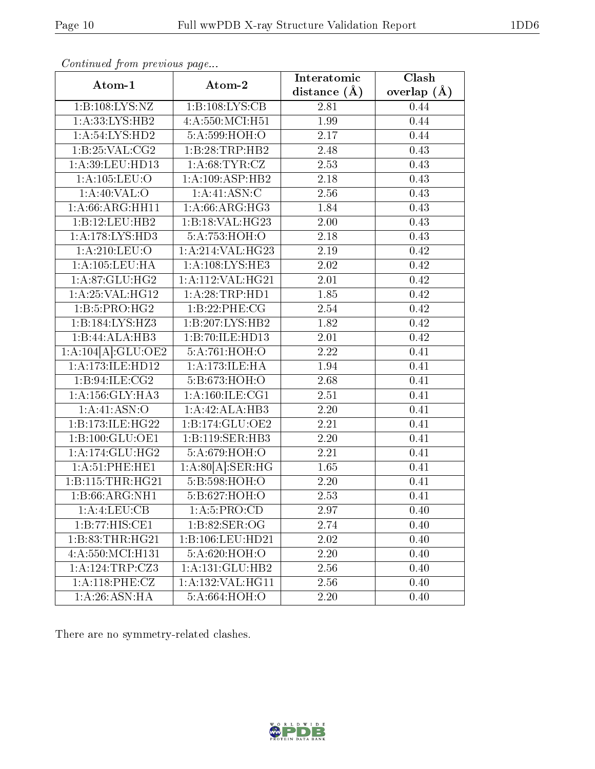|                              | $\cdots$ $\cdots$ $\cdots$ $\cdots$ | Interatomic    | Clash           |
|------------------------------|-------------------------------------|----------------|-----------------|
| Atom-1                       | Atom-2                              | distance $(A)$ | overlap $(\AA)$ |
| 1:B:108:LYS:NZ               | 1:B:108:LYS:CB                      | 2.81           | 0.44            |
| 1:A:33:LYS:HB2               | 4:A:550:MCI:H51                     | 1.99           | 0.44            |
| 1:A:54:LYS:HD2               | 5:A:599:HOH:O                       | 2.17           | 0.44            |
| 1:B:25:VAL:CG2               | 1:B:28:TRP:HB2                      | 2.48           | 0.43            |
| 1:A:39:LEU:HD13              | 1: A:68:TYR:CZ                      | 2.53           | 0.43            |
| 1: A: 105: LEU: O            | 1:A:109:ASP:HB2                     | 2.18           | 0.43            |
| 1:A:40:VAL:O                 | 1:A:41:ASN:C                        | 2.56           | 0.43            |
| 1: A:66: ARG:HH11            | 1: A:66: ARG: HG3                   | 1.84           | 0.43            |
| 1:B:12:LEU:HB2               | 1:B:18:VAL:HG23                     | 2.00           | 0.43            |
| 1: A:178: LYS: HD3           | 5:A:753:HOH:O                       | 2.18           | 0.43            |
| 1:A:210:LEU:O                | 1:A:214:VAL:HG23                    | 2.19           | 0.42            |
| 1: A: 105: LEU: HA           | 1: A:108:LYS:HE3                    | 2.02           | 0.42            |
| 1:A:87:GLU:HG2               | 1:A:112:VAL:H G21                   | 2.01           | 0.42            |
| $1:$ A:25:VAL:HG12           | 1:A:28:TRP:HD1                      | 1.85           | 0.42            |
| 1:B:5:PRO:HG2                | 1:B:22:PHE:CG                       | 2.54           | 0.42            |
| 1:B:184:LYS:HZ3              | 1:B:207:LYS:HB2                     | 1.82           | 0.42            |
| 1:B:44:ALA:HB3               | 1:B:70:ILE:HD13                     | 2.01           | 0.42            |
| 1:A:104[A]:GLU:OE2           | 5:A:761:HOH:O                       | 2.22           | 0.41            |
| 1:A:173:ILE:HD12             | 1: A:173: ILE: HA                   | 1.94           | 0.41            |
| 1:B:94:ILE:CG2               | 5:B:673:HOH:O                       | 2.68           | 0.41            |
| 1: A: 156: GLY: HA3          | 1: A:160: ILE: CG1                  | 2.51           | 0.41            |
| 1:A:41:ASN:O                 | 1:A:42:ALA:HB3                      | 2.20           | 0.41            |
| 1:B:173:ILE:HG22             | 1:B:174:GLU:OE2                     | 2.21           | 0.41            |
| 1:B:100:GLU:OE1              | 1:B:119:SER:HB3                     | 2.20           | 0.41            |
| $1:A:174:GL\overline{U:HG2}$ | 5:A:679:HOH:O                       | 2.21           | 0.41            |
| 1:A:51:PHE:HE1               | 1:A:80[A]:SER:HG                    | 1.65           | 0.41            |
| 1:B:115:THR:HG21             | 5:B:598:HOH:O                       | 2.20           | 0.41            |
| 1:B:66:ARG:NH1               | 5:B:627:HOH:O                       | 2.53           | 0.41            |
| 1:A:4:LEU:CB                 | 1: A:5: PRO:CD                      | 2.97           | 0.40            |
| 1:B:77:HIS:CE1               | 1: B:82: SER:OG                     | 2.74           | 0.40            |
| 1:B:83:THR:HG21              | 1:B:106:LEU:HD21                    | 2.02           | 0.40            |
| 4: A: 550: MCI:H131          | 5:A:620:HOH:O                       | 2.20           | 0.40            |
| 1:A:124:TRP:CZ3              | 1:A:131:GLU:HB2                     | 2.56           | 0.40            |
| 1: A:118: PHE: CZ            | 1:A:132:VAL:HG11                    | 2.56           | 0.40            |
| 1: A:26: ASN: HA             | 5:A:664:HOH:O                       | 2.20           | 0.40            |

Continued from previous page...

There are no symmetry-related clashes.

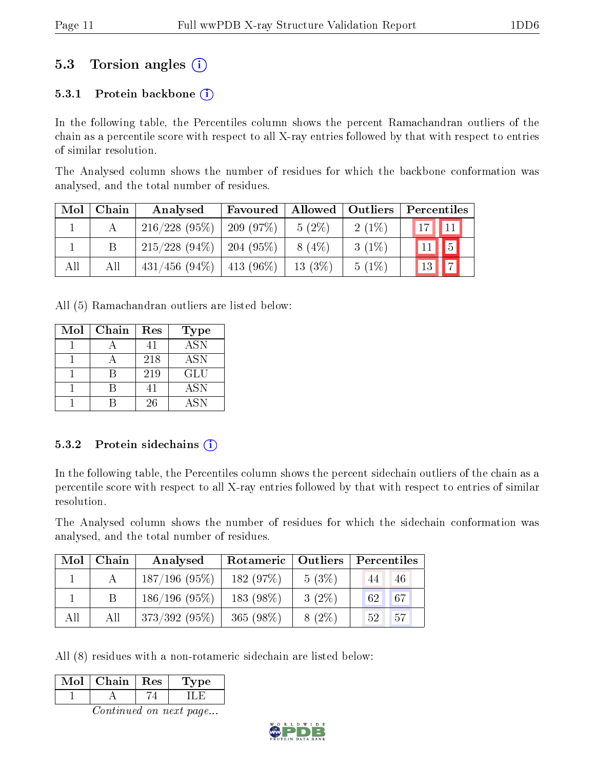## 5.3 Torsion angles (i)

#### 5.3.1 Protein backbone  $(i)$

In the following table, the Percentiles column shows the percent Ramachandran outliers of the chain as a percentile score with respect to all X-ray entries followed by that with respect to entries of similar resolution.

The Analysed column shows the number of residues for which the backbone conformation was analysed, and the total number of residues.

| Mol | Chain | Analysed         | Favoured     | Allowed   | Outliers | Percentiles                                    |
|-----|-------|------------------|--------------|-----------|----------|------------------------------------------------|
|     |       | 216/228(95%)     | $-209(97\%)$ | $5(2\%)$  | $2(1\%)$ | $\vert 17 \vert$<br>$\parallel$ 11 $\parallel$ |
|     |       | $215/228(94\%)$  | 204 (95%)    | $8(4\%)$  | $3(1\%)$ | $\sqrt{5}$<br>11                               |
| All | All   | $431/456$ (94\%) | $ 413(96\%)$ | $13(3\%)$ | $5(1\%)$ | $\boxed{7}$<br>13                              |

All (5) Ramachandran outliers are listed below:

| Mol | Chain | Res | <b>Type</b>      |
|-----|-------|-----|------------------|
|     |       | 41  | $\overline{ASN}$ |
|     |       | 218 | <b>ASN</b>       |
|     |       | 219 | <b>GLU</b>       |
|     |       | 41  | <b>ASN</b>       |
|     |       | 26  | <b>ASN</b>       |

#### 5.3.2 Protein sidechains  $(i)$

In the following table, the Percentiles column shows the percent sidechain outliers of the chain as a percentile score with respect to all X-ray entries followed by that with respect to entries of similar resolution.

The Analysed column shows the number of residues for which the sidechain conformation was analysed, and the total number of residues.

| Mol | Chain | Analysed        | Rotameric   | $\blacksquare$ Outliers | Percentiles                          |
|-----|-------|-----------------|-------------|-------------------------|--------------------------------------|
|     |       | $187/196$ (95%) | 182(97%)    | $5(3\%)$                | 46<br>44                             |
|     |       | $186/196(95\%)$ | 183 (98\%)  | $3(2\%)$                | $67^{\circ}$<br>$\lceil 62 \rceil$ . |
| All | All   | $373/392(95\%)$ | $365(98\%)$ | $8(2\%)$                | 157<br>52 <sub>2</sub>               |

All (8) residues with a non-rotameric sidechain are listed below:

| Mol | Chain   Res | Type |
|-----|-------------|------|
|     |             |      |
|     |             |      |

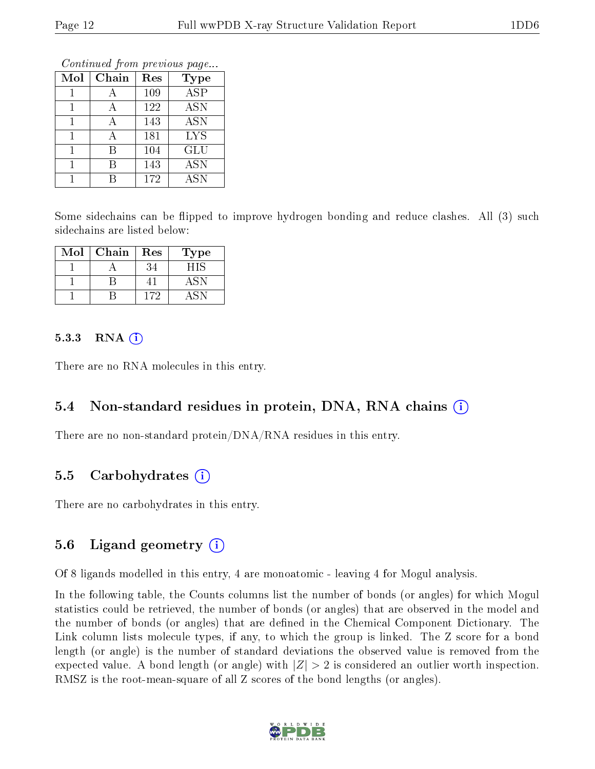Continued from previous page...

| Mol | Chain | Res | <b>Type</b> |
|-----|-------|-----|-------------|
|     |       | 109 | <b>ASP</b>  |
|     | А     | 122 | <b>ASN</b>  |
|     |       | 143 | <b>ASN</b>  |
|     |       | 181 | <b>LYS</b>  |
|     | R     | 104 | GLU         |
|     | В     | 143 | <b>ASN</b>  |
|     |       | 172 | <b>ASN</b>  |

Some sidechains can be flipped to improve hydrogen bonding and reduce clashes. All (3) such sidechains are listed below:

| Mol | Chain | Res | Type |
|-----|-------|-----|------|
|     |       |     | - 11 |
|     |       |     |      |
|     |       | 172 |      |

#### $5.3.3$  RNA  $(i)$

There are no RNA molecules in this entry.

#### 5.4 Non-standard residues in protein, DNA, RNA chains (i)

There are no non-standard protein/DNA/RNA residues in this entry.

#### 5.5 Carbohydrates (i)

There are no carbohydrates in this entry.

#### 5.6 Ligand geometry  $(i)$

Of 8 ligands modelled in this entry, 4 are monoatomic - leaving 4 for Mogul analysis.

In the following table, the Counts columns list the number of bonds (or angles) for which Mogul statistics could be retrieved, the number of bonds (or angles) that are observed in the model and the number of bonds (or angles) that are defined in the Chemical Component Dictionary. The Link column lists molecule types, if any, to which the group is linked. The Z score for a bond length (or angle) is the number of standard deviations the observed value is removed from the expected value. A bond length (or angle) with  $|Z| > 2$  is considered an outlier worth inspection. RMSZ is the root-mean-square of all Z scores of the bond lengths (or angles).

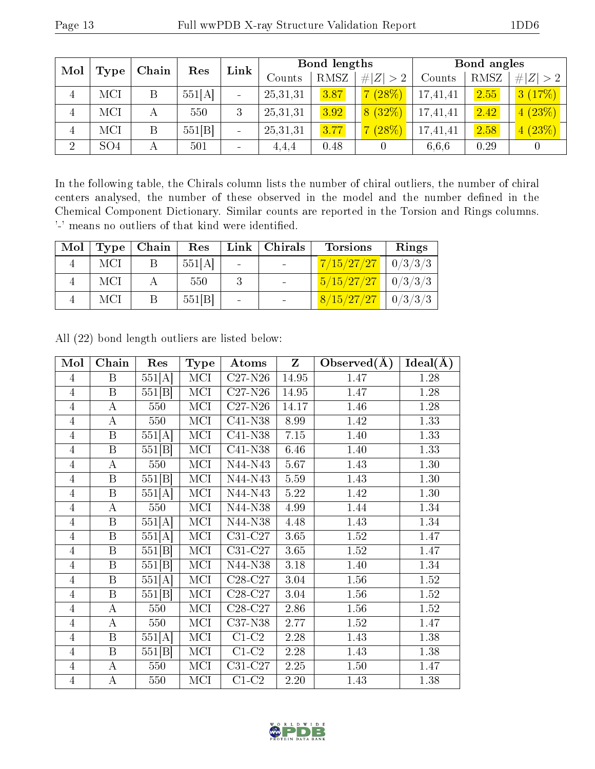| Mol            |                 | Chain | Res    | Link | <b>Bond lengths</b> |      |             | Bond angles |      |             |
|----------------|-----------------|-------|--------|------|---------------------|------|-------------|-------------|------|-------------|
|                | <b>Type</b>     |       |        |      | $\mathrm{Counts}$   | RMSZ | # $ Z  > 2$ | Counts      | RMSZ | # $ Z  > 2$ |
| 4              | MCI             | Β     | 551[A] |      | 25,31,31            | 3.87 | (28%)       | 17,41,41    | 2.55 | 3(17%)      |
| 4              | MCI             | А     | 550    | 3    | 25,31,31            | 3.92 | 8(32%)      | 17,41,41    | 2.42 | 4(23%)      |
| 4              | MCI             | B     | 551[B] |      | 25,31,31            | 3.77 | (28%)       | 17,41,41    | 2.58 | 4(23%)      |
| $\overline{2}$ | SO <sub>4</sub> | Α     | 501    |      | 4,4,4               | 0.48 |             | 6.6.6       | 0.29 |             |

In the following table, the Chirals column lists the number of chiral outliers, the number of chiral centers analysed, the number of these observed in the model and the number defined in the Chemical Component Dictionary. Similar counts are reported in the Torsion and Rings columns. '-' means no outliers of that kind were identified.

| Mol | $\mid$ Type $\mid$ | Chain | Res    | Link | $\mid$ Chirals | <b>Torsions</b>                | Rings |
|-----|--------------------|-------|--------|------|----------------|--------------------------------|-------|
|     | MCI                |       | 551[A] |      |                | $7/15/27/27$   0/3/3/3         |       |
|     | MCI                |       | 550    |      |                | $\frac{5}{15/27/27}$   0/3/3/3 |       |
|     | MCI                |       | 551[B] |      |                | $8/15/27/27$   0/3/3/3         |       |

| Mol            | Chain                   | Res                  | <b>Type</b>             | Atoms                        | Z     | Observed $(A)$    | $Ideal(\AA)$ |
|----------------|-------------------------|----------------------|-------------------------|------------------------------|-------|-------------------|--------------|
| $\overline{4}$ | $\, {\bf B}$            | 551[A]               | MCI                     | $C27-N26$                    | 14.95 | 1.47              | 1.28         |
| $\overline{4}$ | $\, {\bf B}$            | 551[B]               | MCI                     | $C27-N26$                    | 14.95 | 1.47              | 1.28         |
| $\overline{4}$ | $\bf{A}$                | 550                  | $\overline{\text{MCI}}$ | $\overline{C27}$ -N26        | 14.17 | 1.46              | 1.28         |
| $\overline{4}$ | А                       | 550                  | MCI                     | $\overline{\text{C41}}$ -N38 | 8.99  | 1.42              | 1.33         |
| $\overline{4}$ | $\overline{\mathrm{B}}$ | 551[A]               | $\overline{\text{MCI}}$ | $C41-N38$                    | 7.15  | $\overline{1.40}$ | 1.33         |
| $\overline{4}$ | $\overline{B}$          | 551[B]               | MCI                     | C41-N38                      | 6.46  | 1.40              | 1.33         |
| $\overline{4}$ | $\bf{A}$                | 550                  | MCI                     | N44-N43                      | 5.67  | 1.43              | 1.30         |
| $\overline{4}$ | $\, {\bf B}$            | 551 B                | $\overline{\text{MCI}}$ | $N44-N43$                    | 5.59  | 1.43              | 1.30         |
| $\overline{4}$ | $\, {\bf B}$            | 551[A]               | MCI                     | N44-N43                      | 5.22  | 1.42              | 1.30         |
| $\overline{4}$ | $\bf{A}$                | 550                  | $\overline{\text{MCI}}$ | N44-N38                      | 4.99  | 1.44              | 1.34         |
| $\overline{4}$ | $\, {\bf B}$            | 551[A]               | MCI                     | N44-N38                      | 4.48  | $1.43\,$          | 1.34         |
| $\overline{4}$ | $\, {\bf B}$            | 551[A]               | MCI                     | C31-C27                      | 3.65  | 1.52              | 1.47         |
| $\overline{4}$ | $\, {\bf B}$            | $\overline{551}$ [B] | $\overline{\text{MCI}}$ | $C31-C27$                    | 3.65  | 1.52              | 1.47         |
| $\overline{4}$ | $\, {\bf B}$            | 551[B]               | MCI                     | N44-N38                      | 3.18  | 1.40              | 1.34         |
| $\overline{4}$ | $\overline{\mathrm{B}}$ | 551[A]               | $\overline{\text{MCI}}$ | $C28-C27$                    | 3.04  | 1.56              | 1.52         |
| $\overline{4}$ | $\, {\bf B}$            | 551[B]               | MCI                     | $C28-C27$                    | 3.04  | $1.56\,$          | 1.52         |
| $\overline{4}$ | $\bf{A}$                | 550                  | MCI                     | $C28-C27$                    | 2.86  | 1.56              | 1.52         |
| $\overline{4}$ | $\bf{A}$                | 550                  | MCI                     | C37-N38                      | 2.77  | 1.52              | 1.47         |
| $\overline{4}$ | $\, {\bf B}$            | 551[A]               | MCI                     | $C1-C2$                      | 2.28  | 1.43              | 1.38         |
| 4              | $\, {\bf B}$            | 551[B]               | MCI                     | $\overline{C1}$ - $C2$       | 2.28  | 1.43              | 1.38         |
| $\overline{4}$ | $\bf{A}$                | 550                  | MCI                     | $C31-C27$                    | 2.25  | 1.50              | 1.47         |
| $\overline{4}$ | $\bf{A}$                | 550                  | MCI                     | $C1-C2$                      | 2.20  | 1.43              | 1.38         |

All (22) bond length outliers are listed below:

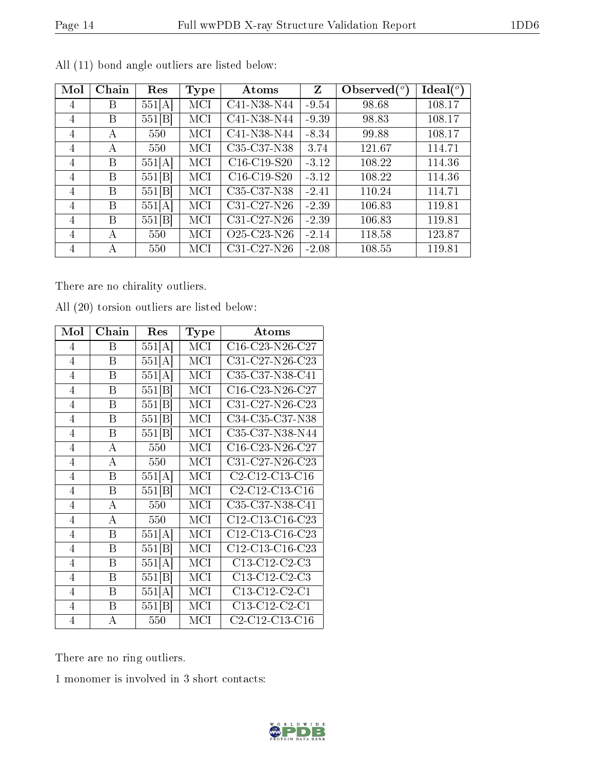|--|

| Mol | Chain | Res    | <b>Type</b> | Atoms                                             | Z       | Observed $(°)$ | $\text{Ideal}({}^o)$ |
|-----|-------|--------|-------------|---------------------------------------------------|---------|----------------|----------------------|
| 4   | Β     | 551[A] | MCI         | C41-N38-N44                                       | $-9.54$ | 98.68          | 108.17               |
| 4   | Β     | 551 B  | MCI         | C41-N38-N44                                       | $-9.39$ | 98.83          | 108.17               |
| 4   | A     | 550    | MCI         | C41-N38-N44                                       | $-8.34$ | 99.88          | 108.17               |
| 4   | А     | 550    | MCI         | C35-C37-N38                                       | 3.74    | 121.67         | 114.71               |
| 4   | Β     | 551[A] | MCI         | $C16-C19-S20$                                     | $-3.12$ | 108.22         | 114.36               |
| 4   | B     | 551[B] | MCI         | $C16-C19-S20$                                     | $-3.12$ | 108.22         | 114.36               |
| 4   | B     | 551 B  | MCI         | C <sub>35</sub> -C <sub>37</sub> -N <sub>38</sub> | $-2.41$ | 110.24         | 114.71               |
| 4   | B     | 551 A  | MCI         | $C31-C27-N26$                                     | $-2.39$ | 106.83         | 119.81               |
| 4   | B     | 551[B] | MCI         | C31-C27-N26                                       | $-2.39$ | 106.83         | 119.81               |
| 4   | А     | 550    | MCI         | O <sub>25</sub> -C <sub>23</sub> -N <sub>26</sub> | $-2.14$ | 118.58         | 123.87               |
| 4   | А     | 550    | MCI         | $C31-C27-N26$                                     | $-2.08$ | 108.55         | 119.81               |

All (11) bond angle outliers are listed below:

There are no chirality outliers.

| Mol            | Chain | Res    | Type | Atoms                                                             |
|----------------|-------|--------|------|-------------------------------------------------------------------|
| $\overline{4}$ | Β     | 551[A] | MCI  | C16-C23-N26-C27                                                   |
| $\overline{4}$ | B     | 551[A] | MCI  | $C31-C27-N26-C23$                                                 |
| $\overline{4}$ | B     | 551[A] | MCI  | C35-C37-N38-C41                                                   |
| $\overline{4}$ | B     | 551[B] | MCI  | C16-C23-N26-C27                                                   |
| $\overline{4}$ | Β     | 551[B] | MCI  | C31-C27-N26-C23                                                   |
| $\overline{4}$ | B     | 551[B] | MCI  | C34-C35-C37-N38                                                   |
| $\overline{4}$ | B     | 551 B  | MCI  | C35-C37-N38-N44                                                   |
| $\overline{4}$ | А     | 550    | MCI  | $C16-C23-N26-C27$                                                 |
| $\overline{4}$ | А     | 550    | MCI  | C31-C27-N26-C23                                                   |
| $\overline{4}$ | B     | 551[A] | MCI  | C2-C12-C13-C16                                                    |
| $\overline{4}$ | B     | 551 B  | MCI  | C <sub>2</sub> -C <sub>12</sub> -C <sub>13</sub> -C <sub>16</sub> |
| $\overline{4}$ | А     | 550    | MCI  | C35-C37-N38-C41                                                   |
| $\overline{4}$ | A     | 550    | MCI  | C12-C13-C16-C23                                                   |
| $\overline{4}$ | B     | 551[A] | MCI  | C12-C13-C16-C23                                                   |
| $\overline{4}$ | Β     | 551[B] | MCI  | C12-C13-C16-C23                                                   |
| $\overline{4}$ | B     | 551[A] | MCI  | $C13-C12-C2-C3$                                                   |
| $\overline{4}$ | B     | 551[B] | MCI  | $C13-C12-C2-C3$                                                   |
| $\overline{4}$ | B     | 551[A] | MCI  | $C13-C12-C2-C1$                                                   |
| $\overline{4}$ | Β     | 551[B] | MCI  | C13-C12-C2-C1                                                     |
| $\overline{4}$ | А     | 550    | MCI  | C2-C12-C13-C16                                                    |

All (20) torsion outliers are listed below:

There are no ring outliers.

1 monomer is involved in 3 short contacts:

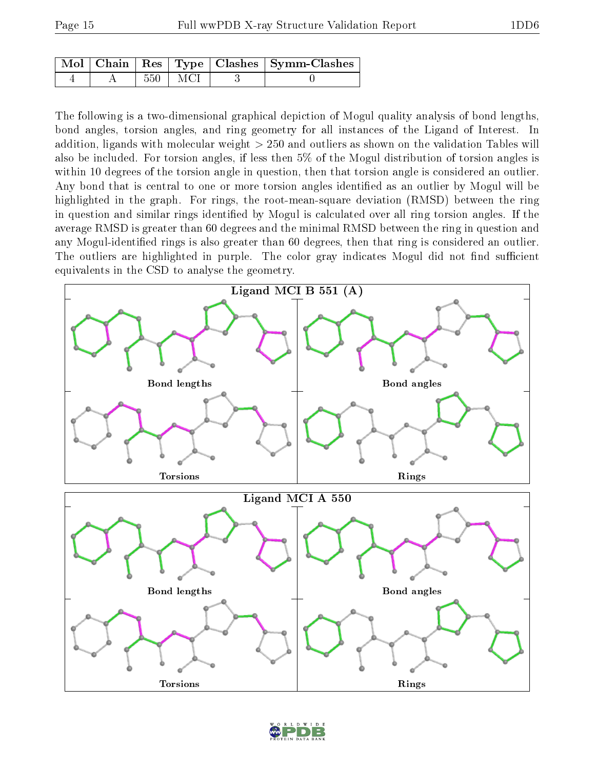|  |     |       | Mol   Chain   Res   Type   Clashes   Symm-Clashes ' |
|--|-----|-------|-----------------------------------------------------|
|  | 550 | ∣ MCI |                                                     |

The following is a two-dimensional graphical depiction of Mogul quality analysis of bond lengths, bond angles, torsion angles, and ring geometry for all instances of the Ligand of Interest. In addition, ligands with molecular weight > 250 and outliers as shown on the validation Tables will also be included. For torsion angles, if less then 5% of the Mogul distribution of torsion angles is within 10 degrees of the torsion angle in question, then that torsion angle is considered an outlier. Any bond that is central to one or more torsion angles identified as an outlier by Mogul will be highlighted in the graph. For rings, the root-mean-square deviation (RMSD) between the ring in question and similar rings identified by Mogul is calculated over all ring torsion angles. If the average RMSD is greater than 60 degrees and the minimal RMSD between the ring in question and any Mogul-identified rings is also greater than 60 degrees, then that ring is considered an outlier. The outliers are highlighted in purple. The color gray indicates Mogul did not find sufficient equivalents in the CSD to analyse the geometry.



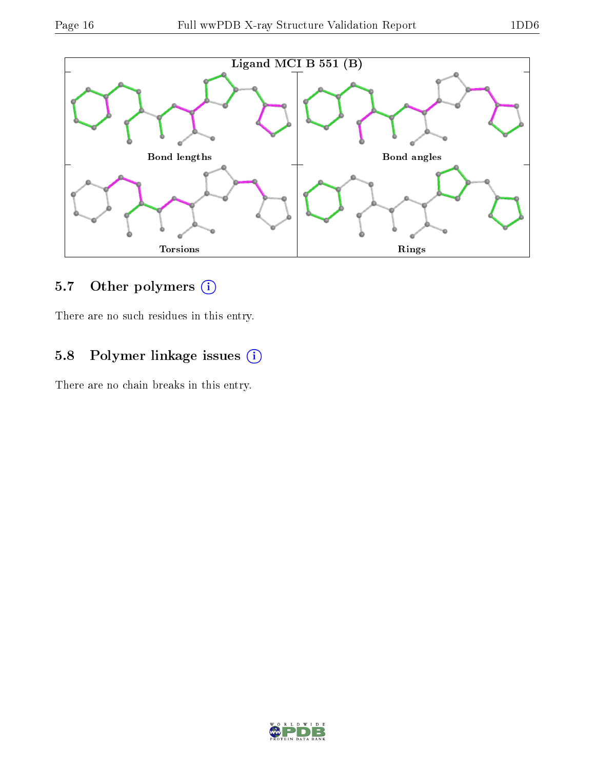

## 5.7 [O](https://www.wwpdb.org/validation/2017/XrayValidationReportHelp#nonstandard_residues_and_ligands)ther polymers (i)

There are no such residues in this entry.

## 5.8 Polymer linkage issues (i)

There are no chain breaks in this entry.